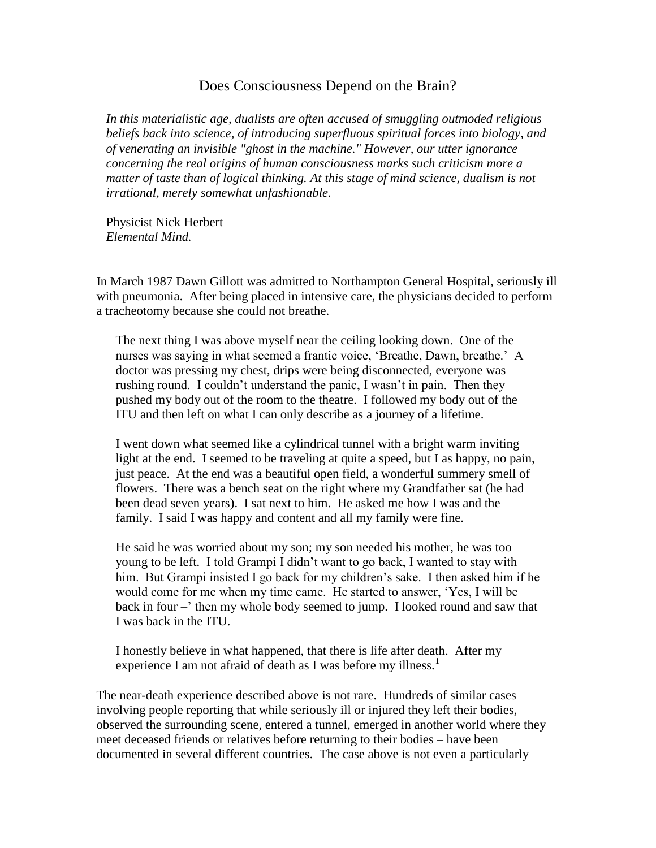## Does Consciousness Depend on the Brain?

*In this materialistic age, dualists are often accused of smuggling outmoded religious beliefs back into science, of introducing superfluous spiritual forces into biology, and of venerating an invisible "ghost in the machine." However, our utter ignorance concerning the real origins of human consciousness marks such criticism more a matter of taste than of logical thinking. At this stage of mind science, dualism is not irrational, merely somewhat unfashionable.*

Physicist Nick Herbert *Elemental Mind.*

In March 1987 Dawn Gillott was admitted to Northampton General Hospital, seriously ill with pneumonia. After being placed in intensive care, the physicians decided to perform a tracheotomy because she could not breathe.

The next thing I was above myself near the ceiling looking down. One of the nurses was saying in what seemed a frantic voice, 'Breathe, Dawn, breathe.' A doctor was pressing my chest, drips were being disconnected, everyone was rushing round. I couldn't understand the panic, I wasn't in pain. Then they pushed my body out of the room to the theatre. I followed my body out of the ITU and then left on what I can only describe as a journey of a lifetime.

I went down what seemed like a cylindrical tunnel with a bright warm inviting light at the end. I seemed to be traveling at quite a speed, but I as happy, no pain, just peace. At the end was a beautiful open field, a wonderful summery smell of flowers. There was a bench seat on the right where my Grandfather sat (he had been dead seven years). I sat next to him. He asked me how I was and the family. I said I was happy and content and all my family were fine.

He said he was worried about my son; my son needed his mother, he was too young to be left. I told Grampi I didn't want to go back, I wanted to stay with him. But Grampi insisted I go back for my children's sake. I then asked him if he would come for me when my time came. He started to answer, 'Yes, I will be back in four –' then my whole body seemed to jump. I looked round and saw that I was back in the ITU.

I honestly believe in what happened, that there is life after death. After my experience I am not afraid of death as I was before my illness.<sup>1</sup>

The near-death experience described above is not rare. Hundreds of similar cases – involving people reporting that while seriously ill or injured they left their bodies, observed the surrounding scene, entered a tunnel, emerged in another world where they meet deceased friends or relatives before returning to their bodies – have been documented in several different countries. The case above is not even a particularly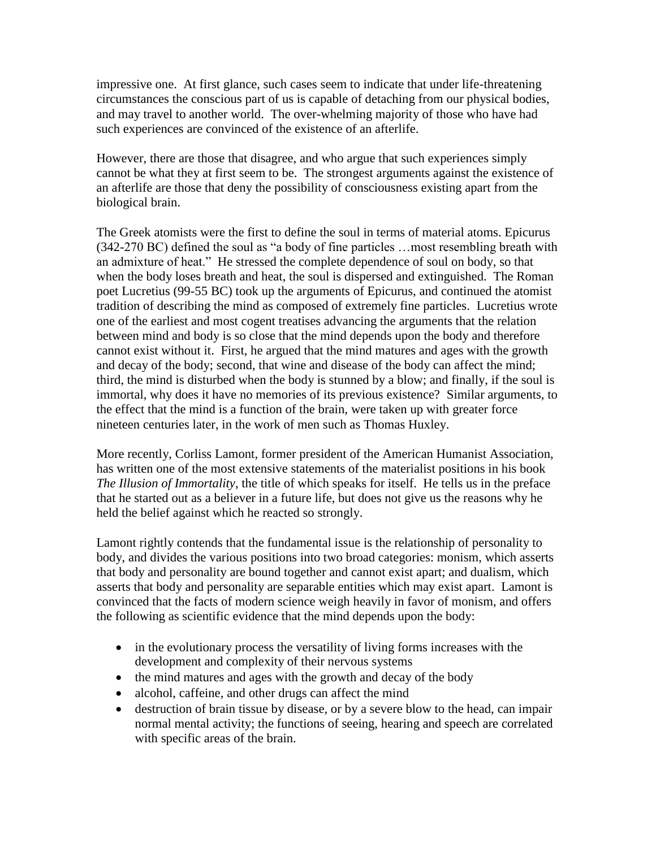impressive one. At first glance, such cases seem to indicate that under life-threatening circumstances the conscious part of us is capable of detaching from our physical bodies, and may travel to another world. The over-whelming majority of those who have had such experiences are convinced of the existence of an afterlife.

However, there are those that disagree, and who argue that such experiences simply cannot be what they at first seem to be. The strongest arguments against the existence of an afterlife are those that deny the possibility of consciousness existing apart from the biological brain.

The Greek atomists were the first to define the soul in terms of material atoms. Epicurus (342-270 BC) defined the soul as "a body of fine particles …most resembling breath with an admixture of heat." He stressed the complete dependence of soul on body, so that when the body loses breath and heat, the soul is dispersed and extinguished. The Roman poet Lucretius (99-55 BC) took up the arguments of Epicurus, and continued the atomist tradition of describing the mind as composed of extremely fine particles. Lucretius wrote one of the earliest and most cogent treatises advancing the arguments that the relation between mind and body is so close that the mind depends upon the body and therefore cannot exist without it. First, he argued that the mind matures and ages with the growth and decay of the body; second, that wine and disease of the body can affect the mind; third, the mind is disturbed when the body is stunned by a blow; and finally, if the soul is immortal, why does it have no memories of its previous existence? Similar arguments, to the effect that the mind is a function of the brain, were taken up with greater force nineteen centuries later, in the work of men such as Thomas Huxley.

More recently, Corliss Lamont, former president of the American Humanist Association, has written one of the most extensive statements of the materialist positions in his book *The Illusion of Immortality*, the title of which speaks for itself. He tells us in the preface that he started out as a believer in a future life, but does not give us the reasons why he held the belief against which he reacted so strongly.

Lamont rightly contends that the fundamental issue is the relationship of personality to body, and divides the various positions into two broad categories: monism, which asserts that body and personality are bound together and cannot exist apart; and dualism, which asserts that body and personality are separable entities which may exist apart. Lamont is convinced that the facts of modern science weigh heavily in favor of monism, and offers the following as scientific evidence that the mind depends upon the body:

- in the evolutionary process the versatility of living forms increases with the development and complexity of their nervous systems
- the mind matures and ages with the growth and decay of the body
- alcohol, caffeine, and other drugs can affect the mind
- destruction of brain tissue by disease, or by a severe blow to the head, can impair normal mental activity; the functions of seeing, hearing and speech are correlated with specific areas of the brain.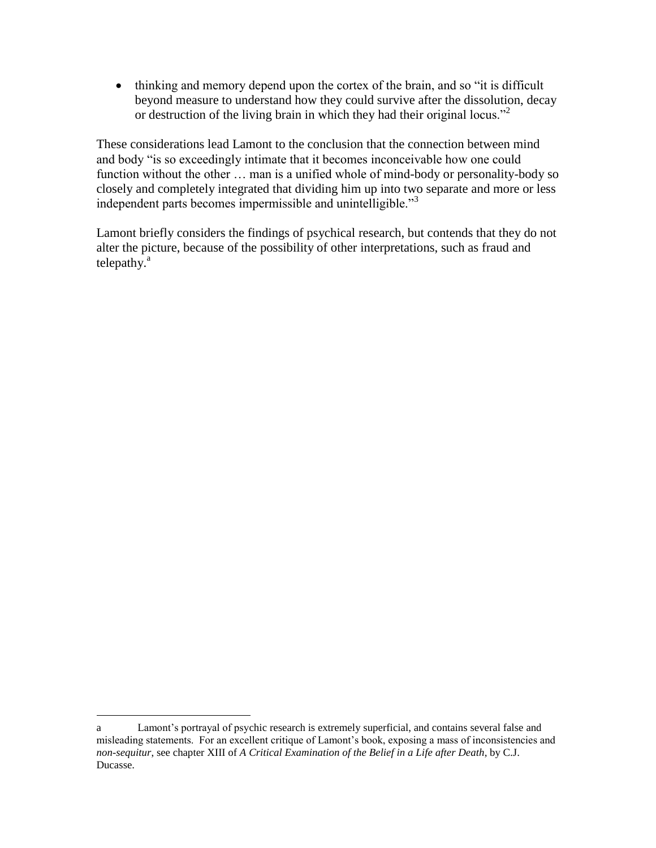• thinking and memory depend upon the cortex of the brain, and so "it is difficult beyond measure to understand how they could survive after the dissolution, decay or destruction of the living brain in which they had their original locus."<sup>2</sup>

These considerations lead Lamont to the conclusion that the connection between mind and body "is so exceedingly intimate that it becomes inconceivable how one could function without the other … man is a unified whole of mind-body or personality-body so closely and completely integrated that dividing him up into two separate and more or less independent parts becomes impermissible and unintelligible."<sup>3</sup>

Lamont briefly considers the findings of psychical research, but contends that they do not alter the picture, because of the possibility of other interpretations, such as fraud and telepathy. $a$ 

 $\overline{a}$ 

a Lamont's portrayal of psychic research is extremely superficial, and contains several false and misleading statements. For an excellent critique of Lamont's book, exposing a mass of inconsistencies and *non-sequitur*, see chapter XIII of *A Critical Examination of the Belief in a Life after Death*, by C.J. Ducasse.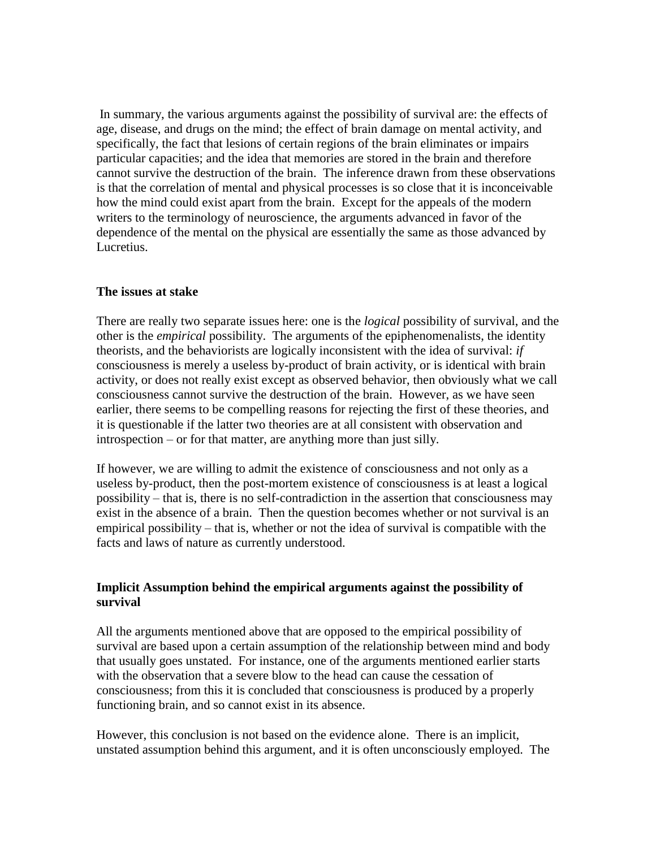In summary, the various arguments against the possibility of survival are: the effects of age, disease, and drugs on the mind; the effect of brain damage on mental activity, and specifically, the fact that lesions of certain regions of the brain eliminates or impairs particular capacities; and the idea that memories are stored in the brain and therefore cannot survive the destruction of the brain. The inference drawn from these observations is that the correlation of mental and physical processes is so close that it is inconceivable how the mind could exist apart from the brain. Except for the appeals of the modern writers to the terminology of neuroscience, the arguments advanced in favor of the dependence of the mental on the physical are essentially the same as those advanced by Lucretius.

## **The issues at stake**

There are really two separate issues here: one is the *logical* possibility of survival, and the other is the *empirical* possibility. The arguments of the epiphenomenalists, the identity theorists, and the behaviorists are logically inconsistent with the idea of survival: *if* consciousness is merely a useless by-product of brain activity, or is identical with brain activity, or does not really exist except as observed behavior, then obviously what we call consciousness cannot survive the destruction of the brain. However, as we have seen earlier, there seems to be compelling reasons for rejecting the first of these theories, and it is questionable if the latter two theories are at all consistent with observation and introspection – or for that matter, are anything more than just silly.

If however, we are willing to admit the existence of consciousness and not only as a useless by-product, then the post-mortem existence of consciousness is at least a logical possibility – that is, there is no self-contradiction in the assertion that consciousness may exist in the absence of a brain. Then the question becomes whether or not survival is an empirical possibility – that is, whether or not the idea of survival is compatible with the facts and laws of nature as currently understood.

## **Implicit Assumption behind the empirical arguments against the possibility of survival**

All the arguments mentioned above that are opposed to the empirical possibility of survival are based upon a certain assumption of the relationship between mind and body that usually goes unstated. For instance, one of the arguments mentioned earlier starts with the observation that a severe blow to the head can cause the cessation of consciousness; from this it is concluded that consciousness is produced by a properly functioning brain, and so cannot exist in its absence.

However, this conclusion is not based on the evidence alone. There is an implicit, unstated assumption behind this argument, and it is often unconsciously employed. The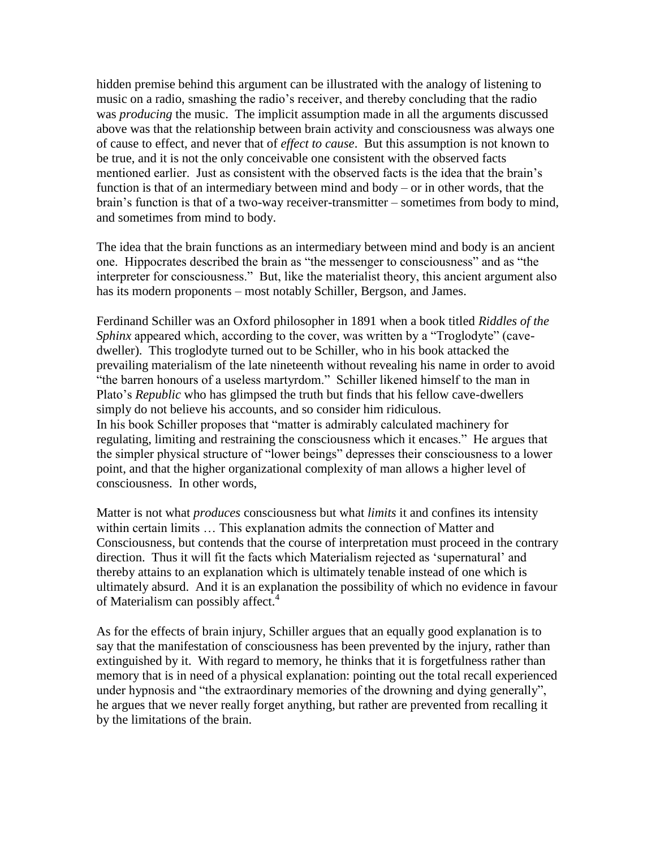hidden premise behind this argument can be illustrated with the analogy of listening to music on a radio, smashing the radio's receiver, and thereby concluding that the radio was *producing* the music. The implicit assumption made in all the arguments discussed above was that the relationship between brain activity and consciousness was always one of cause to effect, and never that of *effect to cause*. But this assumption is not known to be true, and it is not the only conceivable one consistent with the observed facts mentioned earlier. Just as consistent with the observed facts is the idea that the brain's function is that of an intermediary between mind and body – or in other words, that the brain's function is that of a two-way receiver-transmitter – sometimes from body to mind, and sometimes from mind to body.

The idea that the brain functions as an intermediary between mind and body is an ancient one. Hippocrates described the brain as "the messenger to consciousness" and as "the interpreter for consciousness." But, like the materialist theory, this ancient argument also has its modern proponents – most notably Schiller, Bergson, and James.

Ferdinand Schiller was an Oxford philosopher in 1891 when a book titled *Riddles of the Sphinx* appeared which, according to the cover, was written by a "Troglodyte" (cavedweller). This troglodyte turned out to be Schiller, who in his book attacked the prevailing materialism of the late nineteenth without revealing his name in order to avoid "the barren honours of a useless martyrdom." Schiller likened himself to the man in Plato's *Republic* who has glimpsed the truth but finds that his fellow cave-dwellers simply do not believe his accounts, and so consider him ridiculous. In his book Schiller proposes that "matter is admirably calculated machinery for regulating, limiting and restraining the consciousness which it encases." He argues that the simpler physical structure of "lower beings" depresses their consciousness to a lower point, and that the higher organizational complexity of man allows a higher level of consciousness. In other words,

Matter is not what *produces* consciousness but what *limits* it and confines its intensity within certain limits … This explanation admits the connection of Matter and Consciousness, but contends that the course of interpretation must proceed in the contrary direction. Thus it will fit the facts which Materialism rejected as 'supernatural' and thereby attains to an explanation which is ultimately tenable instead of one which is ultimately absurd. And it is an explanation the possibility of which no evidence in favour of Materialism can possibly affect.<sup>4</sup>

As for the effects of brain injury, Schiller argues that an equally good explanation is to say that the manifestation of consciousness has been prevented by the injury, rather than extinguished by it. With regard to memory, he thinks that it is forgetfulness rather than memory that is in need of a physical explanation: pointing out the total recall experienced under hypnosis and "the extraordinary memories of the drowning and dying generally", he argues that we never really forget anything, but rather are prevented from recalling it by the limitations of the brain.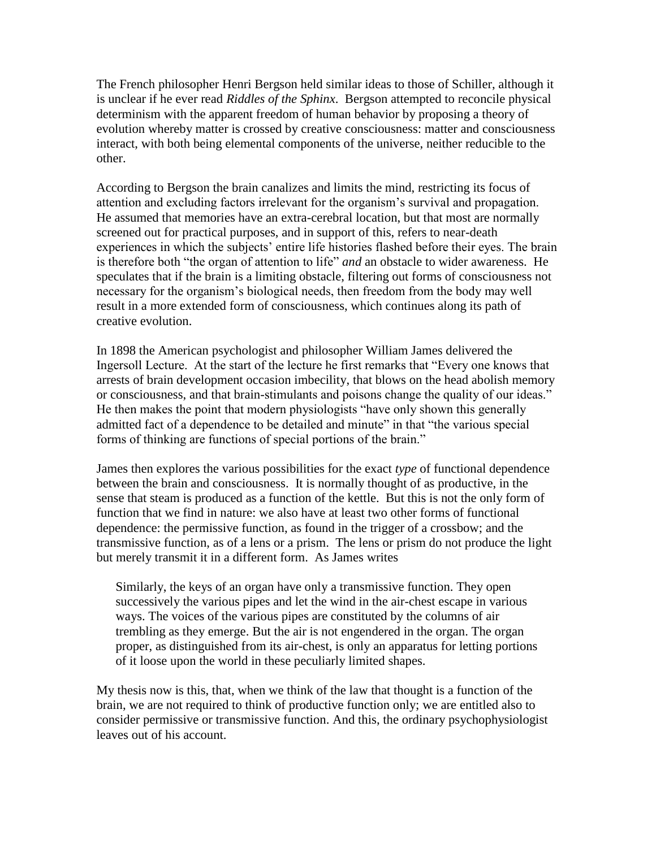The French philosopher Henri Bergson held similar ideas to those of Schiller, although it is unclear if he ever read *Riddles of the Sphinx*. Bergson attempted to reconcile physical determinism with the apparent freedom of human behavior by proposing a theory of evolution whereby matter is crossed by creative consciousness: matter and consciousness interact, with both being elemental components of the universe, neither reducible to the other.

According to Bergson the brain canalizes and limits the mind, restricting its focus of attention and excluding factors irrelevant for the organism's survival and propagation. He assumed that memories have an extra-cerebral location, but that most are normally screened out for practical purposes, and in support of this, refers to near-death experiences in which the subjects' entire life histories flashed before their eyes. The brain is therefore both "the organ of attention to life" *and* an obstacle to wider awareness. He speculates that if the brain is a limiting obstacle, filtering out forms of consciousness not necessary for the organism's biological needs, then freedom from the body may well result in a more extended form of consciousness, which continues along its path of creative evolution.

In 1898 the American psychologist and philosopher William James delivered the Ingersoll Lecture. At the start of the lecture he first remarks that "Every one knows that arrests of brain development occasion imbecility, that blows on the head abolish memory or consciousness, and that brain-stimulants and poisons change the quality of our ideas." He then makes the point that modern physiologists "have only shown this generally admitted fact of a dependence to be detailed and minute" in that "the various special forms of thinking are functions of special portions of the brain."

James then explores the various possibilities for the exact *type* of functional dependence between the brain and consciousness. It is normally thought of as productive, in the sense that steam is produced as a function of the kettle. But this is not the only form of function that we find in nature: we also have at least two other forms of functional dependence: the permissive function, as found in the trigger of a crossbow; and the transmissive function, as of a lens or a prism. The lens or prism do not produce the light but merely transmit it in a different form. As James writes

Similarly, the keys of an organ have only a transmissive function. They open successively the various pipes and let the wind in the air-chest escape in various ways. The voices of the various pipes are constituted by the columns of air trembling as they emerge. But the air is not engendered in the organ. The organ proper, as distinguished from its air-chest, is only an apparatus for letting portions of it loose upon the world in these peculiarly limited shapes.

My thesis now is this, that, when we think of the law that thought is a function of the brain, we are not required to think of productive function only; we are entitled also to consider permissive or transmissive function. And this, the ordinary psychophysiologist leaves out of his account.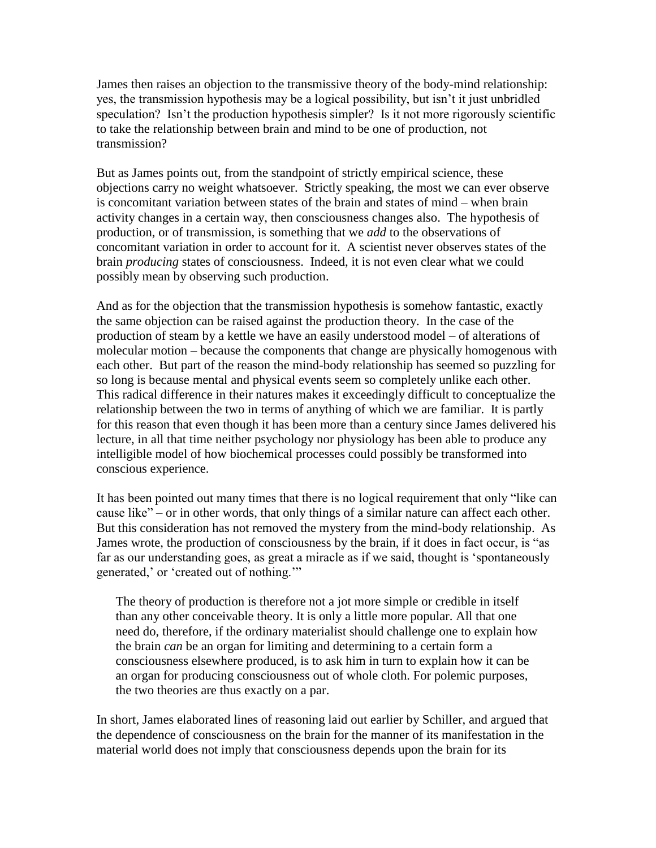James then raises an objection to the transmissive theory of the body-mind relationship: yes, the transmission hypothesis may be a logical possibility, but isn't it just unbridled speculation? Isn't the production hypothesis simpler? Is it not more rigorously scientific to take the relationship between brain and mind to be one of production, not transmission?

But as James points out, from the standpoint of strictly empirical science, these objections carry no weight whatsoever. Strictly speaking, the most we can ever observe is concomitant variation between states of the brain and states of mind – when brain activity changes in a certain way, then consciousness changes also. The hypothesis of production, or of transmission, is something that we *add* to the observations of concomitant variation in order to account for it. A scientist never observes states of the brain *producing* states of consciousness. Indeed, it is not even clear what we could possibly mean by observing such production.

And as for the objection that the transmission hypothesis is somehow fantastic, exactly the same objection can be raised against the production theory. In the case of the production of steam by a kettle we have an easily understood model – of alterations of molecular motion – because the components that change are physically homogenous with each other. But part of the reason the mind-body relationship has seemed so puzzling for so long is because mental and physical events seem so completely unlike each other. This radical difference in their natures makes it exceedingly difficult to conceptualize the relationship between the two in terms of anything of which we are familiar. It is partly for this reason that even though it has been more than a century since James delivered his lecture, in all that time neither psychology nor physiology has been able to produce any intelligible model of how biochemical processes could possibly be transformed into conscious experience.

It has been pointed out many times that there is no logical requirement that only "like can cause like" – or in other words, that only things of a similar nature can affect each other. But this consideration has not removed the mystery from the mind-body relationship. As James wrote, the production of consciousness by the brain, if it does in fact occur, is "as far as our understanding goes, as great a miracle as if we said, thought is 'spontaneously generated,' or 'created out of nothing.'"

The theory of production is therefore not a jot more simple or credible in itself than any other conceivable theory. It is only a little more popular. All that one need do, therefore, if the ordinary materialist should challenge one to explain how the brain *can* be an organ for limiting and determining to a certain form a consciousness elsewhere produced, is to ask him in turn to explain how it can be an organ for producing consciousness out of whole cloth. For polemic purposes, the two theories are thus exactly on a par.

In short, James elaborated lines of reasoning laid out earlier by Schiller, and argued that the dependence of consciousness on the brain for the manner of its manifestation in the material world does not imply that consciousness depends upon the brain for its